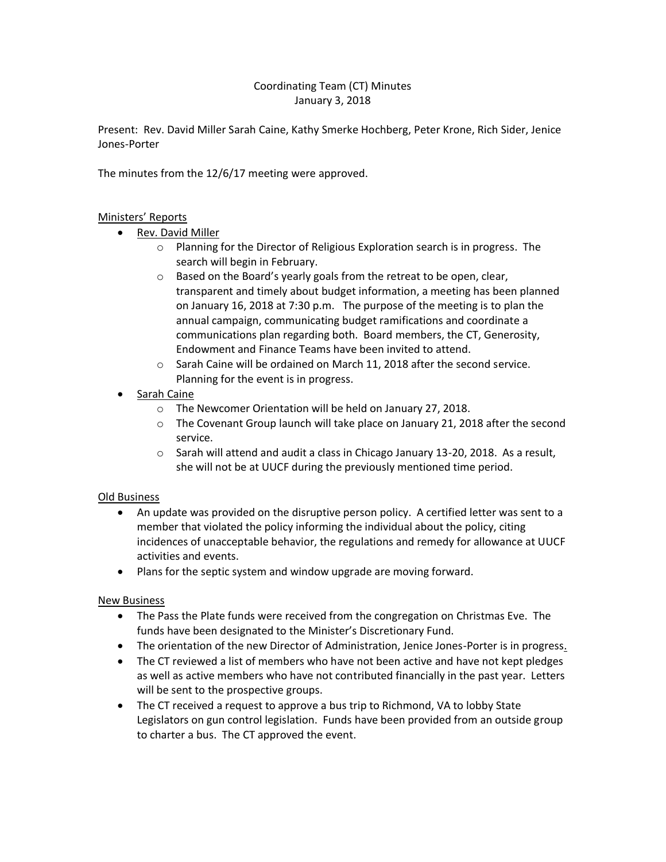## Coordinating Team (CT) Minutes January 3, 2018

Present: Rev. David Miller Sarah Caine, Kathy Smerke Hochberg, Peter Krone, Rich Sider, Jenice Jones-Porter

The minutes from the 12/6/17 meeting were approved.

## Ministers' Reports

- Rev. David Miller
	- o Planning for the Director of Religious Exploration search is in progress. The search will begin in February.
	- o Based on the Board's yearly goals from the retreat to be open, clear, transparent and timely about budget information, a meeting has been planned on January 16, 2018 at 7:30 p.m. The purpose of the meeting is to plan the annual campaign, communicating budget ramifications and coordinate a communications plan regarding both. Board members, the CT, Generosity, Endowment and Finance Teams have been invited to attend.
	- o Sarah Caine will be ordained on March 11, 2018 after the second service. Planning for the event is in progress.
- Sarah Caine
	- o The Newcomer Orientation will be held on January 27, 2018.
	- o The Covenant Group launch will take place on January 21, 2018 after the second service.
	- $\circ$  Sarah will attend and audit a class in Chicago January 13-20, 2018. As a result, she will not be at UUCF during the previously mentioned time period.

#### Old Business

- An update was provided on the disruptive person policy. A certified letter was sent to a member that violated the policy informing the individual about the policy, citing incidences of unacceptable behavior, the regulations and remedy for allowance at UUCF activities and events.
- Plans for the septic system and window upgrade are moving forward.

#### New Business

- The Pass the Plate funds were received from the congregation on Christmas Eve. The funds have been designated to the Minister's Discretionary Fund.
- The orientation of the new Director of Administration, Jenice Jones-Porter is in progress.
- The CT reviewed a list of members who have not been active and have not kept pledges as well as active members who have not contributed financially in the past year. Letters will be sent to the prospective groups.
- The CT received a request to approve a bus trip to Richmond, VA to lobby State Legislators on gun control legislation. Funds have been provided from an outside group to charter a bus. The CT approved the event.